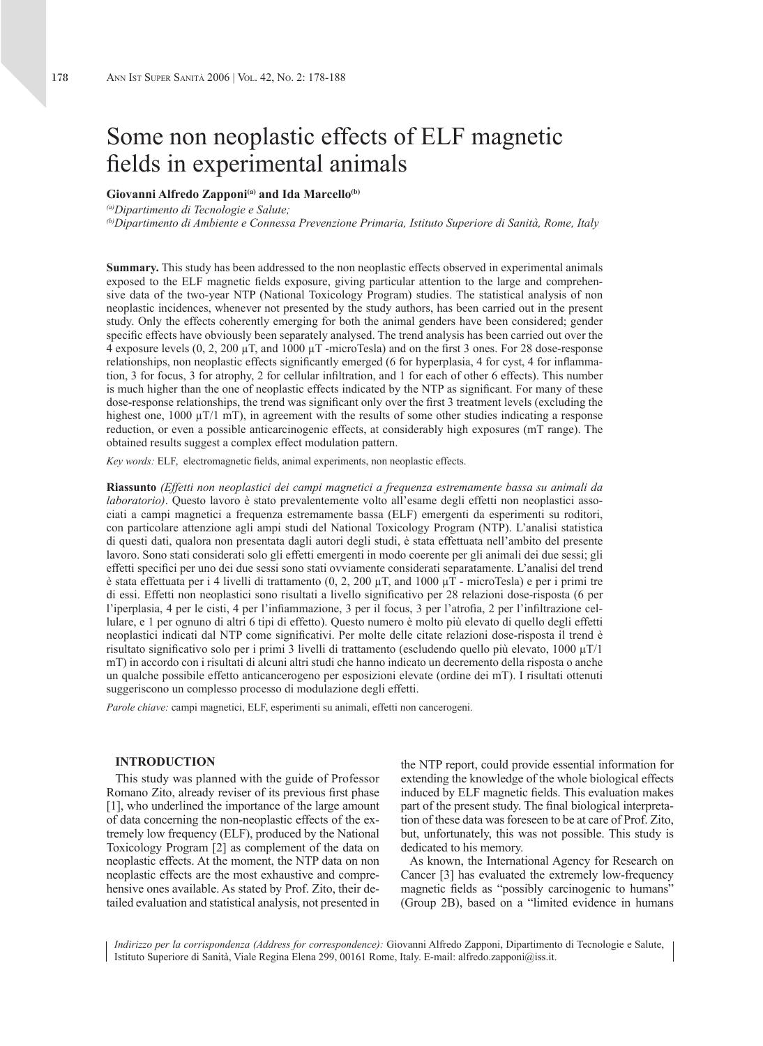# Some non neoplastic effects of ELF magnetic fields in experimental animals

## **Giovanni Alfredo Zapponi(a) and Ida Marcello(b)**

*(a)Dipartimento di Tecnologie e Salute;*

*(b)Dipartimento di Ambiente e Connessa Prevenzione Primaria, Istituto Superiore di Sanità, Rome, Italy*

**Summary.** This study has been addressed to the non neoplastic effects observed in experimental animals exposed to the ELF magnetic fields exposure, giving particular attention to the large and comprehensive data of the two-year NTP (National Toxicology Program) studies. The statistical analysis of non neoplastic incidences, whenever not presented by the study authors, has been carried out in the present study. Only the effects coherently emerging for both the animal genders have been considered; gender specific effects have obviously been separately analysed. The trend analysis has been carried out over the 4 exposure levels (0, 2, 200 µT, and 1000 µT -microTesla) and on the first 3 ones. For 28 dose-response relationships, non neoplastic effects significantly emerged (6 for hyperplasia, 4 for cyst, 4 for inflammation, 3 for focus, 3 for atrophy, 2 for cellular infiltration, and 1 for each of other 6 effects). This number is much higher than the one of neoplastic effects indicated by the NTP as significant. For many of these dose-response relationships, the trend was significant only over the first 3 treatment levels (excluding the highest one,  $1000 \mu T/1 \text{ mT}$ , in agreement with the results of some other studies indicating a response reduction, or even a possible anticarcinogenic effects, at considerably high exposures (mT range). The obtained results suggest a complex effect modulation pattern.

*Key words:* ELF, electromagnetic fields, animal experiments, non neoplastic effects.

**Riassunto** *(Effetti non neoplastici dei campi magnetici a frequenza estremamente bassa su animali da laboratorio)*. Questo lavoro è stato prevalentemente volto all'esame degli effetti non neoplastici associati a campi magnetici a frequenza estremamente bassa (ELF) emergenti da esperimenti su roditori, con particolare attenzione agli ampi studi del National Toxicology Program (NTP). L'analisi statistica di questi dati, qualora non presentata dagli autori degli studi, è stata effettuata nell'ambito del presente lavoro. Sono stati considerati solo gli effetti emergenti in modo coerente per gli animali dei due sessi; gli effetti specifici per uno dei due sessi sono stati ovviamente considerati separatamente. L'analisi del trend è stata effettuata per i 4 livelli di trattamento (0, 2, 200 µT, and 1000 µT - microTesla) e per i primi tre di essi. Effetti non neoplastici sono risultati a livello significativo per 28 relazioni dose-risposta (6 per l'iperplasia, 4 per le cisti, 4 per l'infiammazione, 3 per il focus, 3 per l'atrofia, 2 per l'infiltrazione cellulare, e 1 per ognuno di altri 6 tipi di effetto). Questo numero è molto più elevato di quello degli effetti neoplastici indicati dal NTP come significativi. Per molte delle citate relazioni dose-risposta il trend è risultato significativo solo per i primi 3 livelli di trattamento (escludendo quello più elevato,  $1000 \mu T/1$ mT) in accordo con i risultati di alcuni altri studi che hanno indicato un decremento della risposta o anche un qualche possibile effetto anticancerogeno per esposizioni elevate (ordine dei mT). I risultati ottenuti suggeriscono un complesso processo di modulazione degli effetti.

*Parole chiave:* campi magnetici, ELF, esperimenti su animali, effetti non cancerogeni.

## **INTRODUCTION**

This study was planned with the guide of Professor Romano Zito, already reviser of its previous first phase [1], who underlined the importance of the large amount of data concerning the non-neoplastic effects of the extremely low frequency (ELF), produced by the National Toxicology Program [2] as complement of the data on neoplastic effects. At the moment, the NTP data on non neoplastic effects are the most exhaustive and comprehensive ones available. As stated by Prof. Zito, their detailed evaluation and statistical analysis, not presented in

the NTP report, could provide essential information for extending the knowledge of the whole biological effects induced by ELF magnetic fields. This evaluation makes part of the present study. The final biological interpretation of these data was foreseen to be at care of Prof. Zito, but, unfortunately, this was not possible. This study is dedicated to his memory.

As known, the International Agency for Research on Cancer [3] has evaluated the extremely low-frequency magnetic fields as "possibly carcinogenic to humans" (Group 2B), based on a "limited evidence in humans

*Indirizzo per la corrispondenza (Address for correspondence):* Giovanni Alfredo Zapponi, Dipartimento di Tecnologie e Salute, Istituto Superiore di Sanità, Viale Regina Elena 299, 00161 Rome, Italy. E-mail: alfredo.zapponi@iss.it.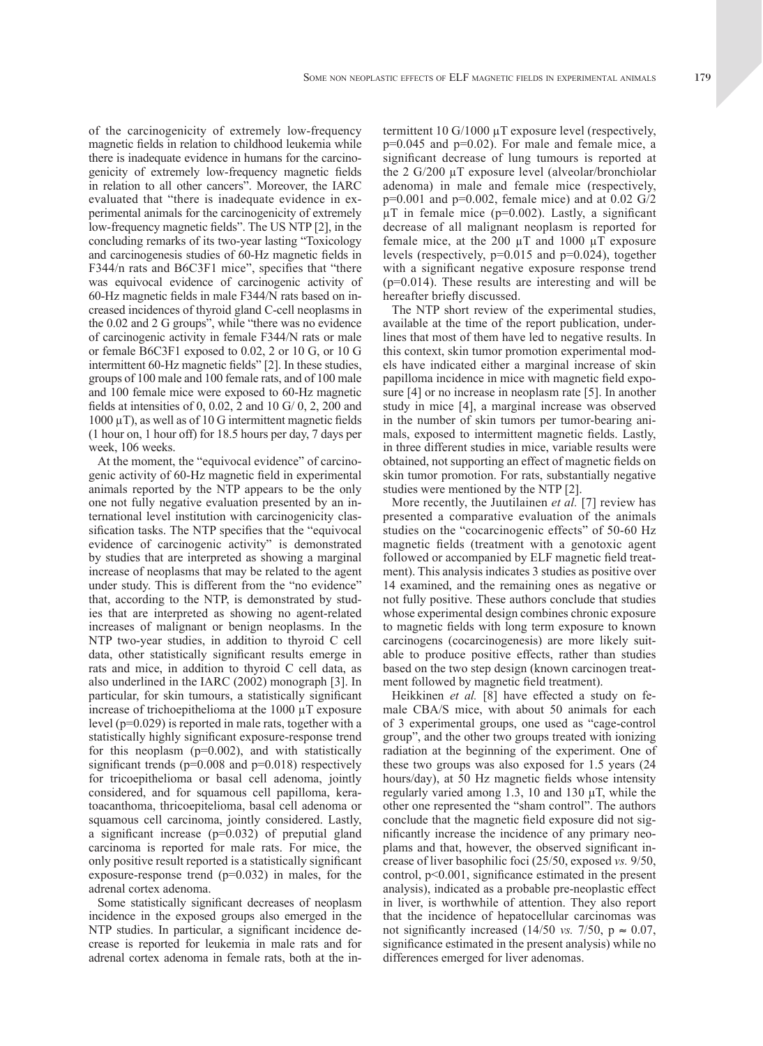of the carcinogenicity of extremely low-frequency magnetic fields in relation to childhood leukemia while there is inadequate evidence in humans for the carcinogenicity of extremely low-frequency magnetic fields in relation to all other cancers". Moreover, the IARC evaluated that "there is inadequate evidence in experimental animals for the carcinogenicity of extremely low-frequency magnetic fields". The US NTP [2], in the concluding remarks of its two-year lasting "Toxicology and carcinogenesis studies of 60-Hz magnetic fields in F344/n rats and B6C3F1 mice", specifies that "there was equivocal evidence of carcinogenic activity of 60-Hz magnetic fields in male F344/N rats based on increased incidences of thyroid gland C-cell neoplasms in the 0.02 and 2 G groups", while "there was no evidence of carcinogenic activity in female F344/N rats or male or female B6C3F1 exposed to 0.02, 2 or 10 G, or 10 G intermittent 60-Hz magnetic fields" [2]. In these studies, groups of 100 male and 100 female rats, and of 100 male and 100 female mice were exposed to 60-Hz magnetic fields at intensities of 0, 0.02, 2 and 10 G/ 0, 2, 200 and  $1000 \mu$ T), as well as of 10 G intermittent magnetic fields (1 hour on, 1 hour off) for 18.5 hours per day, 7 days per week, 106 weeks.

At the moment, the "equivocal evidence" of carcinogenic activity of 60-Hz magnetic field in experimental animals reported by the NTP appears to be the only one not fully negative evaluation presented by an international level institution with carcinogenicity classification tasks. The NTP specifies that the "equivocal evidence of carcinogenic activity" is demonstrated by studies that are interpreted as showing a marginal increase of neoplasms that may be related to the agent under study. This is different from the "no evidence" that, according to the NTP, is demonstrated by studies that are interpreted as showing no agent-related increases of malignant or benign neoplasms. In the NTP two-year studies, in addition to thyroid C cell data, other statistically significant results emerge in rats and mice, in addition to thyroid C cell data, as also underlined in the IARC (2002) monograph [3]. In particular, for skin tumours, a statistically significant increase of trichoepithelioma at the 1000 µT exposure level (p=0.029) is reported in male rats, together with a statistically highly significant exposure-response trend for this neoplasm  $(p=0.002)$ , and with statistically significant trends ( $p=0.008$  and  $p=0.018$ ) respectively for tricoepithelioma or basal cell adenoma, jointly considered, and for squamous cell papilloma, keratoacanthoma, thricoepitelioma, basal cell adenoma or squamous cell carcinoma, jointly considered. Lastly, a significant increase (p=0.032) of preputial gland carcinoma is reported for male rats. For mice, the only positive result reported is a statistically significant exposure-response trend  $(p=0.032)$  in males, for the adrenal cortex adenoma.

Some statistically significant decreases of neoplasm incidence in the exposed groups also emerged in the NTP studies. In particular, a significant incidence decrease is reported for leukemia in male rats and for adrenal cortex adenoma in female rats, both at the in-

termittent 10 G/1000 µT exposure level (respectively,  $p=0.045$  and  $p=0.02$ ). For male and female mice, a significant decrease of lung tumours is reported at the 2 G/200 µT exposure level (alveolar/bronchiolar adenoma) in male and female mice (respectively,  $p=0.001$  and  $p=0.002$ , female mice) and at 0.02 G/2  $\mu$ T in female mice (p=0.002). Lastly, a significant decrease of all malignant neoplasm is reported for female mice, at the  $200 \mu T$  and  $1000 \mu T$  exposure levels (respectively, p=0.015 and p=0.024), together with a significant negative exposure response trend (p=0.014). These results are interesting and will be hereafter briefly discussed.

The NTP short review of the experimental studies, available at the time of the report publication, underlines that most of them have led to negative results. In this context, skin tumor promotion experimental models have indicated either a marginal increase of skin papilloma incidence in mice with magnetic field exposure [4] or no increase in neoplasm rate [5]. In another study in mice [4], a marginal increase was observed in the number of skin tumors per tumor-bearing animals, exposed to intermittent magnetic fields. Lastly, in three different studies in mice, variable results were obtained, not supporting an effect of magnetic fields on skin tumor promotion. For rats, substantially negative studies were mentioned by the NTP [2].

More recently, the Juutilainen *et al.* [7] review has presented a comparative evaluation of the animals studies on the "cocarcinogenic effects" of 50-60 Hz magnetic fields (treatment with a genotoxic agent followed or accompanied by ELF magnetic field treatment). This analysis indicates 3 studies as positive over 14 examined, and the remaining ones as negative or not fully positive. These authors conclude that studies whose experimental design combines chronic exposure to magnetic fields with long term exposure to known carcinogens (cocarcinogenesis) are more likely suitable to produce positive effects, rather than studies based on the two step design (known carcinogen treatment followed by magnetic field treatment).

Heikkinen *et al.* [8] have effected a study on female CBA/S mice, with about 50 animals for each of 3 experimental groups, one used as "cage-control group", and the other two groups treated with ionizing radiation at the beginning of the experiment. One of these two groups was also exposed for 1.5 years (24 hours/day), at 50 Hz magnetic fields whose intensity regularly varied among 1.3, 10 and 130 µT, while the other one represented the "sham control". The authors conclude that the magnetic field exposure did not significantly increase the incidence of any primary neoplams and that, however, the observed significant increase of liver basophilic foci (25/50, exposed *vs.* 9/50, control, p<0.001, significance estimated in the present analysis), indicated as a probable pre-neoplastic effect in liver, is worthwhile of attention. They also report that the incidence of hepatocellular carcinomas was not significantly increased (14/50 *vs.*  $7/50$ ,  $p \approx 0.07$ , significance estimated in the present analysis) while no differences emerged for liver adenomas.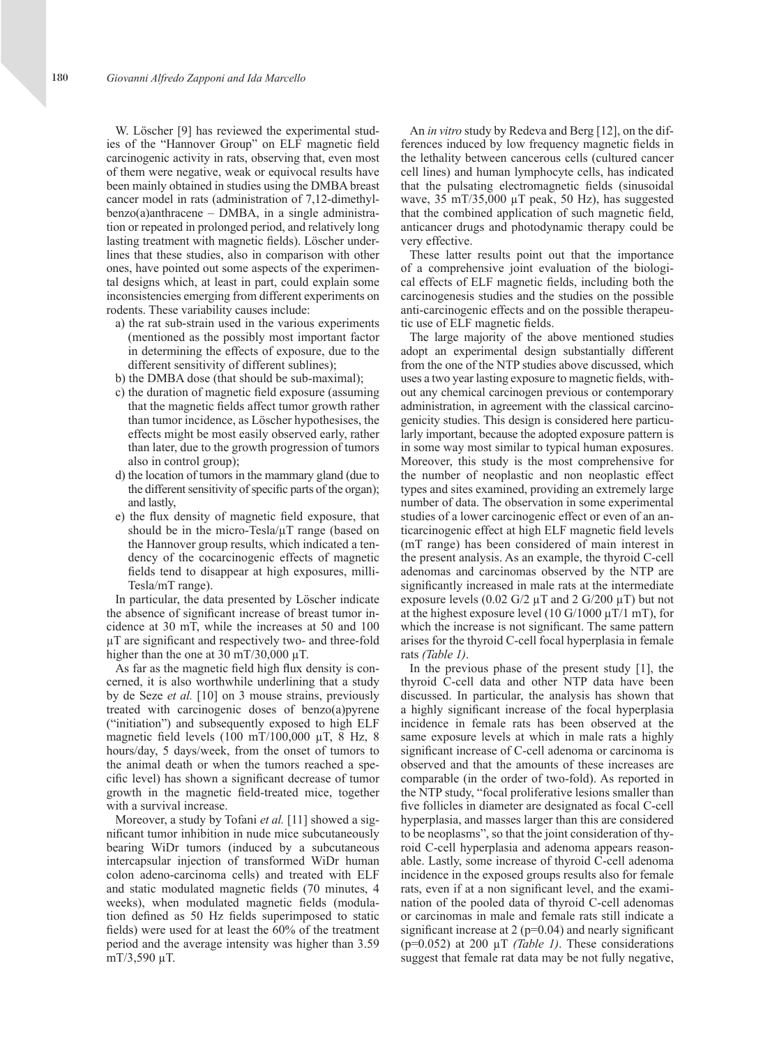W. Löscher [9] has reviewed the experimental studies of the "Hannover Group" on ELF magnetic field carcinogenic activity in rats, observing that, even most of them were negative, weak or equivocal results have been mainly obtained in studies using the DMBA breast cancer model in rats (administration of 7,12-dimethylbenzo(a)anthracene – DMBA, in a single administration or repeated in prolonged period, and relatively long lasting treatment with magnetic fields). Löscher underlines that these studies, also in comparison with other ones, have pointed out some aspects of the experimental designs which, at least in part, could explain some inconsistencies emerging from different experiments on rodents. These variability causes include:

- a) the rat sub-strain used in the various experiments (mentioned as the possibly most important factor in determining the effects of exposure, due to the different sensitivity of different sublines);
- b) the DMBA dose (that should be sub-maximal);
- c) the duration of magnetic field exposure (assuming that the magnetic fields affect tumor growth rather than tumor incidence, as Löscher hypothesises, the effects might be most easily observed early, rather than later, due to the growth progression of tumors also in control group);
- d) the location of tumors in the mammary gland (due to the different sensitivity of specific parts of the organ); and lastly,
- e) the flux density of magnetic field exposure, that should be in the micro-Tesla/ $\mu$ T range (based on the Hannover group results, which indicated a tendency of the cocarcinogenic effects of magnetic fields tend to disappear at high exposures, milli-Tesla/mT range).

In particular, the data presented by Löscher indicate the absence of significant increase of breast tumor incidence at 30 mT, while the increases at 50 and 100 µT are significant and respectively two- and three-fold higher than the one at 30 mT/30,000  $\mu$ T.

As far as the magnetic field high flux density is concerned, it is also worthwhile underlining that a study by de Seze *et al.* [10] on 3 mouse strains, previously treated with carcinogenic doses of benzo(a)pyrene ("initiation") and subsequently exposed to high ELF magnetic field levels  $(100 \text{ m})/100,000 \mu \text{T}$ , 8 Hz, 8 hours/day, 5 days/week, from the onset of tumors to the animal death or when the tumors reached a specific level) has shown a significant decrease of tumor growth in the magnetic field-treated mice, together with a survival increase.

Moreover, a study by Tofani *et al.* [11] showed a significant tumor inhibition in nude mice subcutaneously bearing WiDr tumors (induced by a subcutaneous intercapsular injection of transformed WiDr human colon adeno-carcinoma cells) and treated with ELF and static modulated magnetic fields (70 minutes, 4 weeks), when modulated magnetic fields (modulation defined as 50 Hz fields superimposed to static fields) were used for at least the 60% of the treatment period and the average intensity was higher than 3.59 mT/3,590 µT.

An *in vitro* study by Redeva and Berg [12], on the differences induced by low frequency magnetic fields in the lethality between cancerous cells (cultured cancer cell lines) and human lymphocyte cells, has indicated that the pulsating electromagnetic fields (sinusoidal wave, 35 mT/35,000 µT peak, 50 Hz), has suggested that the combined application of such magnetic field, anticancer drugs and photodynamic therapy could be very effective.

These latter results point out that the importance of a comprehensive joint evaluation of the biological effects of ELF magnetic fields, including both the carcinogenesis studies and the studies on the possible anti-carcinogenic effects and on the possible therapeutic use of ELF magnetic fields.

The large majority of the above mentioned studies adopt an experimental design substantially different from the one of the NTP studies above discussed, which uses a two year lasting exposure to magnetic fields, without any chemical carcinogen previous or contemporary administration, in agreement with the classical carcinogenicity studies. This design is considered here particularly important, because the adopted exposure pattern is in some way most similar to typical human exposures. Moreover, this study is the most comprehensive for the number of neoplastic and non neoplastic effect types and sites examined, providing an extremely large number of data. The observation in some experimental studies of a lower carcinogenic effect or even of an anticarcinogenic effect at high ELF magnetic field levels (mT range) has been considered of main interest in the present analysis. As an example, the thyroid C-cell adenomas and carcinomas observed by the NTP are significantly increased in male rats at the intermediate exposure levels  $(0.02 \text{ G}/2 \mu \text{T}$  and  $2 \text{ G}/200 \mu \text{T})$  but not at the highest exposure level (10 G/1000  $\mu$ T/1 mT), for which the increase is not significant. The same pattern arises for the thyroid C-cell focal hyperplasia in female rats *(Table 1)*.

In the previous phase of the present study [1], the thyroid C-cell data and other NTP data have been discussed. In particular, the analysis has shown that a highly significant increase of the focal hyperplasia incidence in female rats has been observed at the same exposure levels at which in male rats a highly significant increase of C-cell adenoma or carcinoma is observed and that the amounts of these increases are comparable (in the order of two-fold). As reported in the NTP study, "focal proliferative lesions smaller than five follicles in diameter are designated as focal C-cell hyperplasia, and masses larger than this are considered to be neoplasms", so that the joint consideration of thyroid C-cell hyperplasia and adenoma appears reasonable. Lastly, some increase of thyroid C-cell adenoma incidence in the exposed groups results also for female rats, even if at a non significant level, and the examination of the pooled data of thyroid C-cell adenomas or carcinomas in male and female rats still indicate a significant increase at  $2$  ( $p=0.04$ ) and nearly significant (p=0.052) at 200 µT *(Table 1)*. These considerations suggest that female rat data may be not fully negative,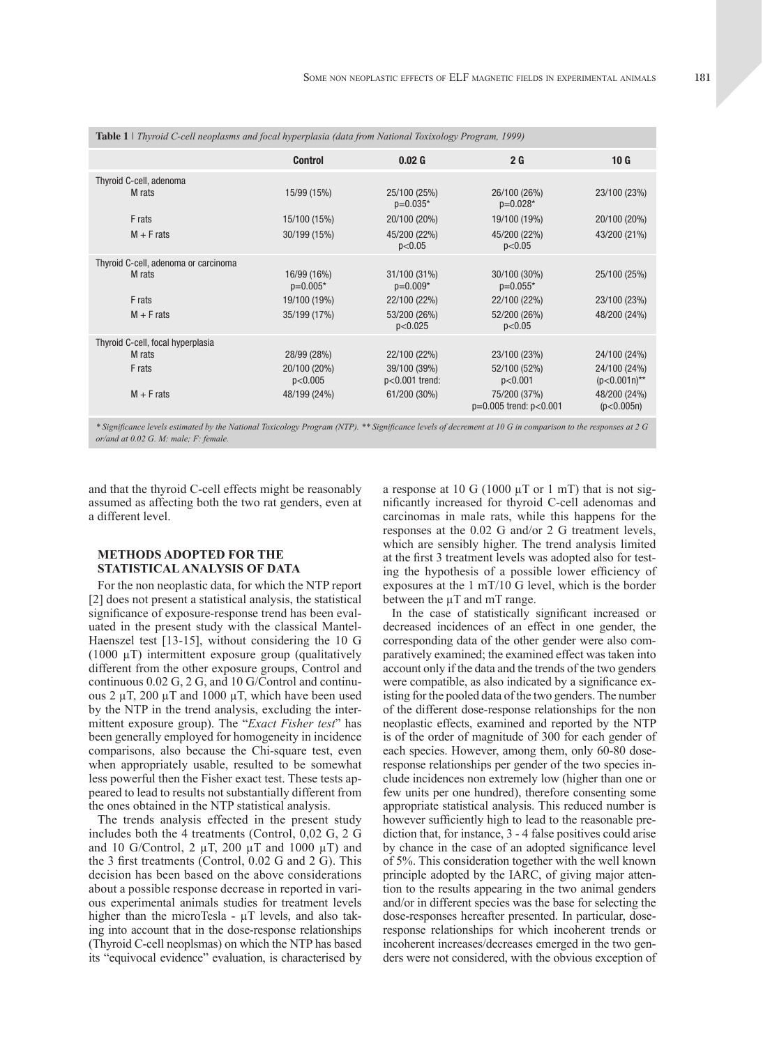| <b>Table 1</b>   Thyroid C-cell neoplasms and focal hyperplasia (data from National Toxixology Program, 1999) |                           |                                  |                                            |                                 |  |  |
|---------------------------------------------------------------------------------------------------------------|---------------------------|----------------------------------|--------------------------------------------|---------------------------------|--|--|
|                                                                                                               | <b>Control</b>            | 0.02 <sub>G</sub>                | 2 <sub>G</sub>                             | 10G                             |  |  |
| Thyroid C-cell, adenoma                                                                                       |                           |                                  |                                            |                                 |  |  |
| M rats                                                                                                        | 15/99 (15%)               | 25/100 (25%)<br>$p=0.035*$       | 26/100 (26%)<br>$p=0.028*$                 | 23/100 (23%)                    |  |  |
| F rats                                                                                                        | 15/100 (15%)              | 20/100 (20%)                     | 19/100 (19%)                               | 20/100 (20%)                    |  |  |
| $M + F$ rats                                                                                                  | 30/199 (15%)              | 45/200 (22%)<br>p<0.05           | 45/200 (22%)<br>p<0.05                     | 43/200 (21%)                    |  |  |
| Thyroid C-cell, adenoma or carcinoma                                                                          |                           |                                  |                                            |                                 |  |  |
| M rats                                                                                                        | 16/99 (16%)<br>$p=0.005*$ | 31/100 (31%)<br>$p=0.009*$       | 30/100 (30%)<br>$p=0.055*$                 | 25/100 (25%)                    |  |  |
| F rats                                                                                                        | 19/100 (19%)              | 22/100 (22%)                     | 22/100 (22%)                               | 23/100 (23%)                    |  |  |
| $M + F$ rats                                                                                                  | 35/199 (17%)              | 53/200 (26%)<br>p<0.025          | 52/200 (26%)<br>p<0.05                     | 48/200 (24%)                    |  |  |
| Thyroid C-cell, focal hyperplasia                                                                             |                           |                                  |                                            |                                 |  |  |
| M rats                                                                                                        | 28/99 (28%)               | 22/100 (22%)                     | 23/100 (23%)                               | 24/100 (24%)                    |  |  |
| F rats                                                                                                        | 20/100 (20%)<br>p<0.005   | 39/100 (39%)<br>$p<0.001$ trend: | 52/100 (52%)<br>p<0.001                    | 24/100 (24%)<br>$(p<0.001n)$ ** |  |  |
| $M + F$ rats                                                                                                  | 48/199 (24%)              | 61/200 (30%)                     | 75/200 (37%)<br>$p=0.005$ trend: $p<0.001$ | 48/200 (24%)<br>(p<0.005n)      |  |  |
|                                                                                                               |                           |                                  |                                            |                                 |  |  |

*\* Significance levels estimated by the National Toxicology Program (NTP). \*\* Significance levels of decrement at 10 G in comparison to the responses at 2 G or/and at 0.02 G. M: male; F: female.*

and that the thyroid C-cell effects might be reasonably assumed as affecting both the two rat genders, even at a different level.

### **METHODS ADOPTED FOR THE STATISTICAL ANALYSIS OF DATA**

For the non neoplastic data, for which the NTP report [2] does not present a statistical analysis, the statistical significance of exposure-response trend has been evaluated in the present study with the classical Mantel-Haenszel test [13-15], without considering the 10 G (1000 µT) intermittent exposure group (qualitatively different from the other exposure groups, Control and continuous 0.02 G, 2 G, and 10 G/Control and continuous 2  $\mu$ T, 200  $\mu$ T and 1000  $\mu$ T, which have been used by the NTP in the trend analysis, excluding the intermittent exposure group). The "*Exact Fisher test*" has been generally employed for homogeneity in incidence comparisons, also because the Chi-square test, even when appropriately usable, resulted to be somewhat less powerful then the Fisher exact test. These tests appeared to lead to results not substantially different from the ones obtained in the NTP statistical analysis.

The trends analysis effected in the present study includes both the 4 treatments (Control, 0,02 G, 2 G and 10 G/Control, 2  $\mu$ T, 200  $\mu$ T and 1000  $\mu$ T) and the 3 first treatments (Control, 0.02 G and 2 G). This decision has been based on the above considerations about a possible response decrease in reported in various experimental animals studies for treatment levels higher than the microTesla -  $\mu$ T levels, and also taking into account that in the dose-response relationships (Thyroid C-cell neoplsmas) on which the NTP has based its "equivocal evidence" evaluation, is characterised by a response at 10 G (1000  $\mu$ T or 1 mT) that is not significantly increased for thyroid C-cell adenomas and carcinomas in male rats, while this happens for the responses at the 0.02 G and/or 2 G treatment levels, which are sensibly higher. The trend analysis limited at the first 3 treatment levels was adopted also for testing the hypothesis of a possible lower efficiency of exposures at the 1 mT/10 G level, which is the border between the  $\mu$ T and mT range.

In the case of statistically significant increased or decreased incidences of an effect in one gender, the corresponding data of the other gender were also comparatively examined; the examined effect was taken into account only if the data and the trends of the two genders were compatible, as also indicated by a significance existing for the pooled data of the two genders. The number of the different dose-response relationships for the non neoplastic effects, examined and reported by the NTP is of the order of magnitude of 300 for each gender of each species. However, among them, only 60-80 doseresponse relationships per gender of the two species include incidences non extremely low (higher than one or few units per one hundred), therefore consenting some appropriate statistical analysis. This reduced number is however sufficiently high to lead to the reasonable prediction that, for instance, 3 - 4 false positives could arise by chance in the case of an adopted significance level of 5%. This consideration together with the well known principle adopted by the IARC, of giving major attention to the results appearing in the two animal genders and/or in different species was the base for selecting the dose-responses hereafter presented. In particular, doseresponse relationships for which incoherent trends or incoherent increases/decreases emerged in the two genders were not considered, with the obvious exception of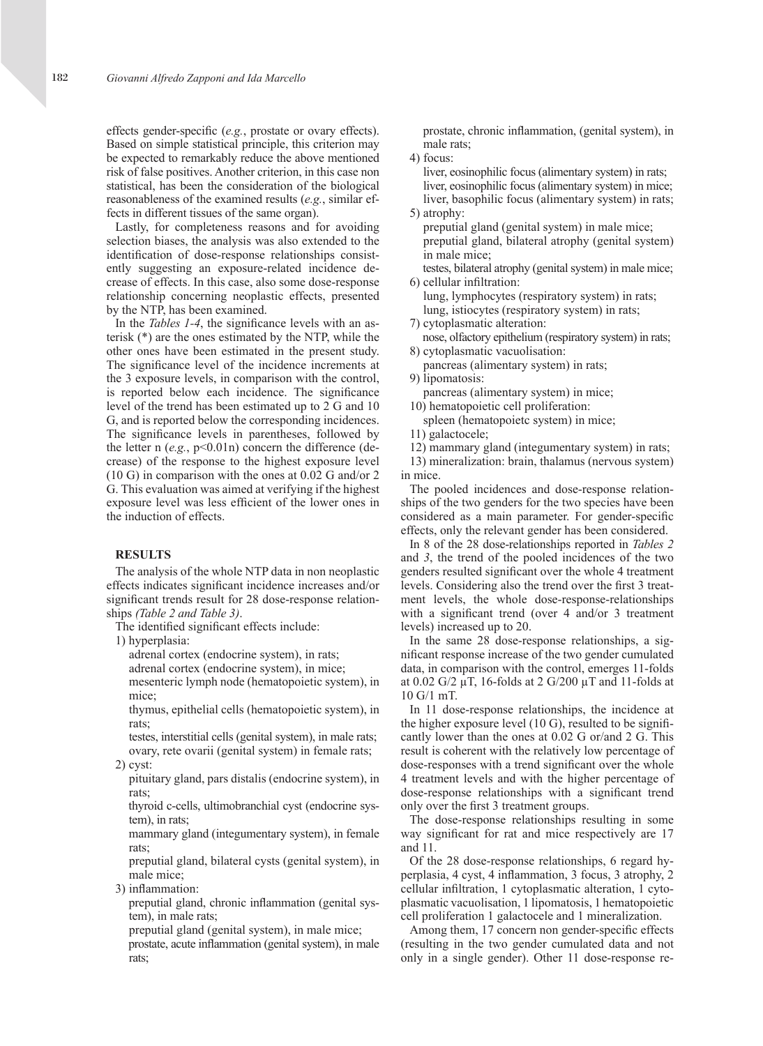effects gender-specific (*e.g.*, prostate or ovary effects). Based on simple statistical principle, this criterion may be expected to remarkably reduce the above mentioned risk of false positives. Another criterion, in this case non statistical, has been the consideration of the biological reasonableness of the examined results (*e.g.*, similar effects in different tissues of the same organ).

Lastly, for completeness reasons and for avoiding selection biases, the analysis was also extended to the identification of dose-response relationships consistently suggesting an exposure-related incidence decrease of effects. In this case, also some dose-response relationship concerning neoplastic effects, presented by the NTP, has been examined.

In the *Tables 1-4*, the significance levels with an asterisk (\*) are the ones estimated by the NTP, while the other ones have been estimated in the present study. The significance level of the incidence increments at the 3 exposure levels, in comparison with the control, is reported below each incidence. The significance level of the trend has been estimated up to 2 G and 10 G, and is reported below the corresponding incidences. The significance levels in parentheses, followed by the letter n (*e.g.*, p<0.01n) concern the difference (decrease) of the response to the highest exposure level (10 G) in comparison with the ones at 0.02 G and/or 2 G. This evaluation was aimed at verifying if the highest exposure level was less efficient of the lower ones in the induction of effects.

#### **RESULTS**

The analysis of the whole NTP data in non neoplastic effects indicates significant incidence increases and/or significant trends result for 28 dose-response relationships *(Table 2 and Table 3)*.

The identified significant effects include:

1) hyperplasia:

adrenal cortex (endocrine system), in rats;

adrenal cortex (endocrine system), in mice;

 mesenteric lymph node (hematopoietic system), in mice;

 thymus, epithelial cells (hematopoietic system), in rats;

testes, interstitial cells (genital system), in male rats; ovary, rete ovarii (genital system) in female rats; 2) cyst:

pituitary gland, pars distalis (endocrine system), in rats;

 thyroid c-cells, ultimobranchial cyst (endocrine system), in rats;

 mammary gland (integumentary system), in female rats;

 preputial gland, bilateral cysts (genital system), in male mice;

3) inflammation:

 preputial gland, chronic inflammation (genital system), in male rats;

preputial gland (genital system), in male mice;

 prostate, acute inflammation (genital system), in male rats;

 prostate, chronic inflammation, (genital system), in male rats;

4) focus:

liver, eosinophilic focus (alimentary system) in rats; liver, eosinophilic focus (alimentary system) in mice; liver, basophilic focus (alimentary system) in rats; 5) atrophy:

preputial gland (genital system) in male mice; preputial gland, bilateral atrophy (genital system) in male mice;

testes, bilateral atrophy (genital system) in male mice; 6) cellular infiltration:

lung, lymphocytes (respiratory system) in rats; lung, istiocytes (respiratory system) in rats; 7) cytoplasmatic alteration:

nose, olfactory epithelium (respiratory system) in rats; 8) cytoplasmatic vacuolisation:

pancreas (alimentary system) in rats;

9) lipomatosis:

pancreas (alimentary system) in mice;

10) hematopoietic cell proliferation: spleen (hematopoietc system) in mice;

11) galactocele;

12) mammary gland (integumentary system) in rats;

13) mineralization: brain, thalamus (nervous system) in mice.

The pooled incidences and dose-response relationships of the two genders for the two species have been considered as a main parameter. For gender-specific effects, only the relevant gender has been considered.

In 8 of the 28 dose-relationships reported in *Tables 2* and *3*, the trend of the pooled incidences of the two genders resulted significant over the whole 4 treatment levels. Considering also the trend over the first 3 treatment levels, the whole dose-response-relationships with a significant trend (over 4 and/or 3 treatment levels) increased up to 20.

In the same 28 dose-response relationships, a significant response increase of the two gender cumulated data, in comparison with the control, emerges 11-folds at 0.02 G/2 µT, 16-folds at 2 G/200 µT and 11-folds at 10 G/1 mT.

In 11 dose-response relationships, the incidence at the higher exposure level (10 G), resulted to be significantly lower than the ones at 0.02 G or/and 2 G. This result is coherent with the relatively low percentage of dose-responses with a trend significant over the whole 4 treatment levels and with the higher percentage of dose-response relationships with a significant trend only over the first 3 treatment groups.

The dose-response relationships resulting in some way significant for rat and mice respectively are 17 and 11.

Of the 28 dose-response relationships, 6 regard hyperplasia, 4 cyst, 4 inflammation, 3 focus, 3 atrophy, 2 cellular infiltration, 1 cytoplasmatic alteration, 1 cytoplasmatic vacuolisation, 1 lipomatosis, 1 hematopoietic cell proliferation 1 galactocele and 1 mineralization.

Among them, 17 concern non gender-specific effects (resulting in the two gender cumulated data and not only in a single gender). Other 11 dose-response re-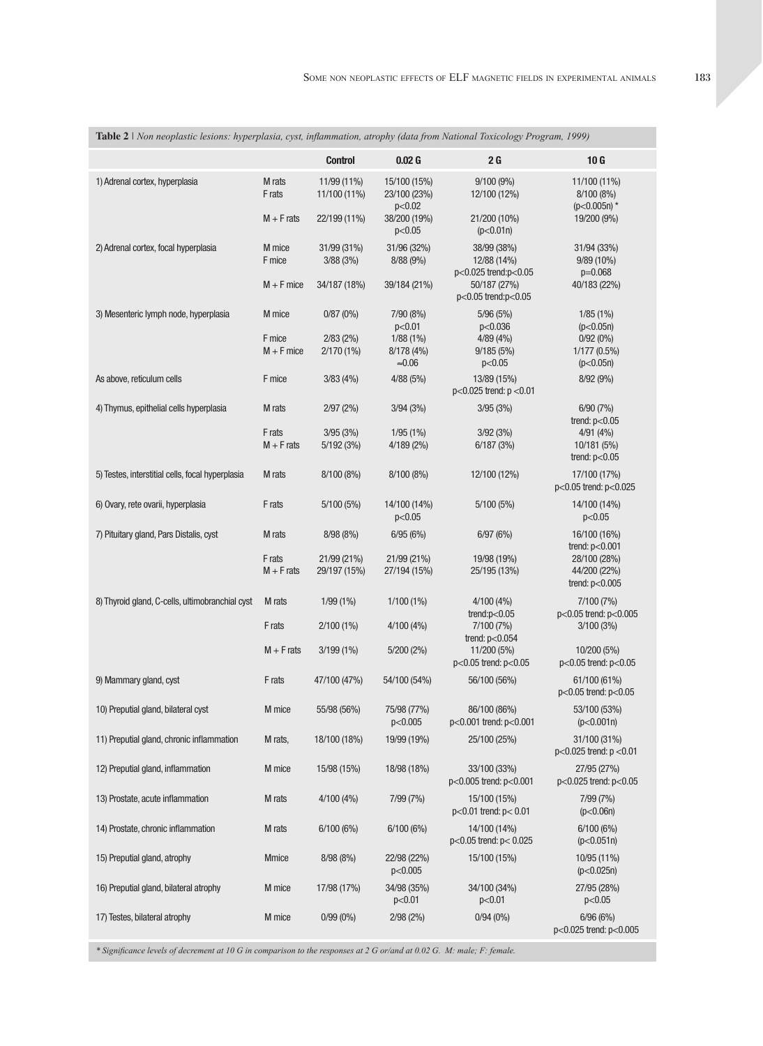| Table 2   Non neoplastic lesions: hyperplasia, cyst, inflammation, atrophy (data from National Toxicology Program, 1999) |                                  |                                         |                                         |                                                                    |                                                               |
|--------------------------------------------------------------------------------------------------------------------------|----------------------------------|-----------------------------------------|-----------------------------------------|--------------------------------------------------------------------|---------------------------------------------------------------|
|                                                                                                                          |                                  | <b>Control</b>                          | 0.02G                                   | 2G                                                                 | 10G                                                           |
| 1) Adrenal cortex, hyperplasia                                                                                           | M rats<br>F rats                 | 11/99 (11%)<br>11/100 (11%)             | 15/100 (15%)<br>23/100 (23%)<br>p<0.02  | 9/100(9%)<br>12/100 (12%)                                          | 11/100 (11%)<br>8/100 (8%)<br>$(p<0.005n)$ *                  |
|                                                                                                                          | $M + F$ rats                     | 22/199 (11%)                            | 38/200 (19%)<br>p<0.05                  | 21/200 (10%)<br>(p<0.01n)                                          | 19/200 (9%)                                                   |
| 2) Adrenal cortex, focal hyperplasia                                                                                     | M mice<br>F mice<br>$M + F$ mice | 31/99 (31%)<br>3/88(3%)<br>34/187 (18%) | 31/96 (32%)<br>8/88(9%)<br>39/184 (21%) | 38/99 (38%)<br>12/88 (14%)<br>p<0.025 trend:p<0.05<br>50/187 (27%) | 31/94 (33%)<br>9/89 (10%)<br>$p=0.068$<br>40/183 (22%)        |
|                                                                                                                          |                                  |                                         |                                         | p<0.05 trend:p<0.05                                                |                                                               |
| 3) Mesenteric lymph node, hyperplasia                                                                                    | M mice                           | 0/87(0%)                                | 7/90 (8%)<br>p<0.01                     | 5/96(5%)<br>p<0.036                                                | 1/85(1%)<br>(p<0.05n)                                         |
|                                                                                                                          | F mice<br>$M + F$ mice           | 2/83(2%)<br>2/170 (1%)                  | $1/88(1\%)$<br>8/178 (4%)<br>$≈0.06$    | 4/89(4%)<br>9/185(5%)<br>p<0.05                                    | $0/92(0\%)$<br>$1/177(0.5\%)$<br>(p<0.05n)                    |
| As above, reticulum cells                                                                                                | F mice                           | 3/83(4%)                                | 4/88 (5%)                               | 13/89 (15%)<br>p<0.025 trend: p <0.01                              | 8/92 (9%)                                                     |
| 4) Thymus, epithelial cells hyperplasia                                                                                  | M rats                           | 2/97(2%)                                | 3/94(3%)                                | 3/95(3%)                                                           | 6/90(7%)                                                      |
|                                                                                                                          | F rats<br>$M + F$ rats           | 3/95(3%)<br>5/192(3%)                   | 1/95(1%)<br>4/189(2%)                   | 3/92(3%)<br>6/187(3%)                                              | trend: $p<0.05$<br>4/91(4%)<br>10/181 (5%)<br>trend: $p<0.05$ |
| 5) Testes, interstitial cells, focal hyperplasia                                                                         | M rats                           | 8/100(8%)                               | 8/100 (8%)                              | 12/100 (12%)                                                       | 17/100 (17%)<br>p<0.05 trend: p<0.025                         |
| 6) Ovary, rete ovarii, hyperplasia                                                                                       | F rats                           | 5/100(5%)                               | 14/100 (14%)<br>p<0.05                  | 5/100(5%)                                                          | 14/100 (14%)<br>p<0.05                                        |
| 7) Pituitary gland, Pars Distalis, cyst                                                                                  | M rats                           | 8/98(8%)                                | 6/95(6%)                                | 6/97(6%)                                                           | 16/100 (16%)<br>trend: $p<0.001$                              |
|                                                                                                                          | F rats<br>$M + F$ rats           | 21/99 (21%)<br>29/197 (15%)             | 21/99 (21%)<br>27/194 (15%)             | 19/98 (19%)<br>25/195 (13%)                                        | 28/100 (28%)<br>44/200 (22%)<br>trend: $p<0.005$              |
| 8) Thyroid gland, C-cells, ultimobranchial cyst                                                                          | M rats                           | $1/99(1\%)$                             | 1/100(1%)                               | 4/100(4%)<br>trend: $p<0.05$                                       | 7/100 (7%)<br>p<0.05 trend: p<0.005                           |
|                                                                                                                          | F rats                           | $2/100(1\%)$                            | 4/100(4%)                               | 7/100 (7%)<br>trend: $p<0.054$                                     | 3/100(3%)                                                     |
|                                                                                                                          | $M + F$ rats                     | $3/199(1\%)$                            | 5/200(2%)                               | 11/200 (5%)<br>p<0.05 trend: p<0.05                                | 10/200 (5%)<br>p<0.05 trend: p<0.05                           |
| 9) Mammary gland, cyst                                                                                                   | F rats                           | 47/100 (47%)                            | 54/100 (54%)                            | 56/100 (56%)                                                       | 61/100 (61%)<br>p<0.05 trend: p<0.05                          |
| 10) Preputial gland, bilateral cyst                                                                                      | M mice                           | 55/98 (56%)                             | 75/98 (77%)<br>p<0.005                  | 86/100 (86%)<br>p<0.001 trend: p<0.001                             | 53/100 (53%)<br>(p<0.001n)                                    |
| 11) Preputial gland, chronic inflammation                                                                                | M rats,                          | 18/100 (18%)                            | 19/99 (19%)                             | 25/100 (25%)                                                       | 31/100 (31%)<br>p<0.025 trend: p <0.01                        |
| 12) Preputial gland, inflammation                                                                                        | M mice                           | 15/98 (15%)                             | 18/98 (18%)                             | 33/100 (33%)<br>$p<0.005$ trend: $p<0.001$                         | 27/95 (27%)<br>$p<0.025$ trend: $p<0.05$                      |
| 13) Prostate, acute inflammation                                                                                         | M rats                           | 4/100(4%)                               | 7/99 (7%)                               | 15/100 (15%)<br>$p<0.01$ trend: $p< 0.01$                          | 7/99 (7%)<br>(p<0.06n)                                        |
| 14) Prostate, chronic inflammation                                                                                       | M rats                           | 6/100(6%)                               | 6/100 (6%)                              | 14/100 (14%)<br>$p<0.05$ trend: $p< 0.025$                         | 6/100(6%)<br>(p<0.051n)                                       |
| 15) Preputial gland, atrophy                                                                                             | <b>Mmice</b>                     | 8/98(8%)                                | 22/98 (22%)<br>p<0.005                  | 15/100 (15%)                                                       | 10/95 (11%)<br>(p<0.025n)                                     |
| 16) Preputial gland, bilateral atrophy                                                                                   | M mice                           | 17/98 (17%)                             | 34/98 (35%)<br>p<0.01                   | 34/100 (34%)<br>p<0.01                                             | 27/95 (28%)<br>p<0.05                                         |
| 17) Testes, bilateral atrophy                                                                                            | M mice                           | $0/99(0\%)$                             | 2/98(2%)                                | 0/94(0%)                                                           | 6/96(6%)<br>$p<0.025$ trend: $p<0.005$                        |

*\* Significance levels of decrement at 10 G in comparison to the responses at 2 G or/and at 0.02 G. M: male; F: female.*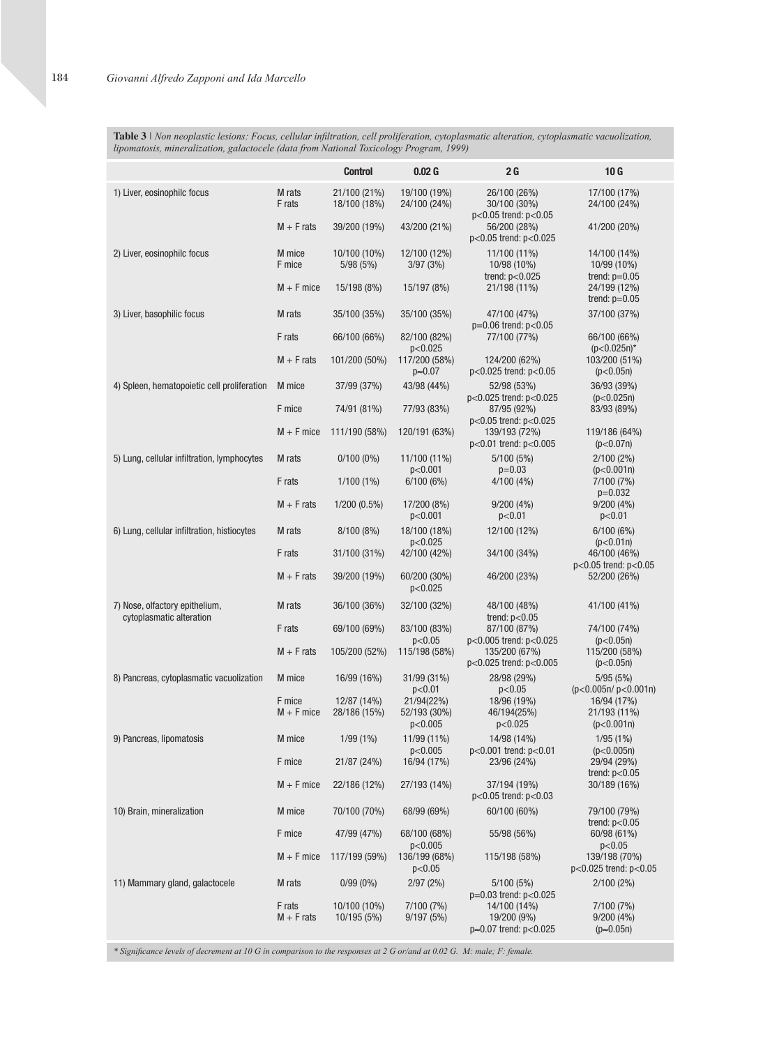**Table 3** *| Non neoplastic lesions: Focus, cellular infiltration, cell proliferation, cytoplasmatic alteration, cytoplasmatic vacuolization, lipomatosis, mineralization, galactocele (data from National Toxicology Program, 1999)*

|                                                            |                        | <b>Control</b>               | 0.02 <sub>G</sub>                     | 2G                                                                | 10G                                            |
|------------------------------------------------------------|------------------------|------------------------------|---------------------------------------|-------------------------------------------------------------------|------------------------------------------------|
| 1) Liver, eosinophilc focus                                | M rats<br>F rats       | 21/100 (21%)<br>18/100 (18%) | 19/100 (19%)<br>24/100 (24%)          | 26/100 (26%)<br>30/100 (30%)                                      | 17/100 (17%)<br>24/100 (24%)                   |
|                                                            | $M + F$ rats           | 39/200 (19%)                 | 43/200 (21%)                          | p<0.05 trend: p<0.05<br>56/200 (28%)<br>$p<0.05$ trend: $p<0.025$ | 41/200 (20%)                                   |
| 2) Liver, eosinophilc focus                                | M mice<br>F mice       | 10/100 (10%)<br>5/98 (5%)    | 12/100 (12%)<br>3/97(3%)              | 11/100 (11%)<br>10/98 (10%)<br>trend: $p<0.025$                   | 14/100 (14%)<br>10/99 (10%)<br>trend: $p=0.05$ |
|                                                            | $M + F$ mice           | 15/198 (8%)                  | 15/197 (8%)                           | 21/198 (11%)                                                      | 24/199 (12%)<br>trend: $p=0.05$                |
| 3) Liver, basophilic focus                                 | M rats                 | 35/100 (35%)                 | 35/100 (35%)                          | 47/100 (47%)<br>$p=0.06$ trend: $p<0.05$                          | 37/100 (37%)                                   |
|                                                            | F rats                 | 66/100 (66%)                 | 82/100 (82%)<br>p<0.025               | 77/100 (77%)                                                      | 66/100 (66%)<br>$(p<0.025n)^*$                 |
|                                                            | $M + F$ rats           | 101/200 (50%)                | 117/200 (58%)<br>$p\approx 0.07$      | 124/200 (62%)<br>$p<0.025$ trend: $p<0.05$                        | 103/200 (51%)<br>(p<0.05n)                     |
| 4) Spleen, hematopoietic cell proliferation                | M mice                 | 37/99 (37%)                  | 43/98 (44%)                           | 52/98 (53%)<br>p<0.025 trend: p<0.025                             | 36/93 (39%)<br>(p<0.025n)                      |
|                                                            | F mice                 | 74/91 (81%)                  | 77/93 (83%)                           | 87/95 (92%)<br>$p<0.05$ trend: $p<0.025$                          | 83/93 (89%)                                    |
|                                                            | $M + F$ mice           | 111/190 (58%)                | 120/191 (63%)                         | 139/193 (72%)<br>$p<0.01$ trend: $p<0.005$                        | 119/186 (64%)<br>(p<0.07n)                     |
| 5) Lung, cellular infiltration, lymphocytes                | M rats                 | $0/100(0\%)$                 | 11/100 (11%)<br>p<0.001               | 5/100(5%)<br>$p=0.03$                                             | $2/100(2\%)$<br>(p<0.001n)                     |
|                                                            | F rats                 | $1/100(1\%)$                 | 6/100(6%)                             | 4/100 (4%)                                                        | 7/100 (7%)<br>$p=0.032$                        |
|                                                            | $M + F$ rats           | 1/200 (0.5%)                 | 17/200 (8%)<br>p<0.001                | 9/200(4%)<br>p<0.01                                               | 9/200(4%)<br>p<0.01                            |
| 6) Lung, cellular infiltration, histiocytes                | M rats                 | 8/100 (8%)                   | 18/100 (18%)<br>p<0.025               | 12/100 (12%)                                                      | 6/100(6%)<br>(p<0.01n)                         |
|                                                            | F rats                 | 31/100 (31%)                 | 42/100 (42%)                          | 34/100 (34%)                                                      | 46/100 (46%)<br>$p<0.05$ trend: $p<0.05$       |
|                                                            | $M + F$ rats           | 39/200 (19%)                 | 60/200 (30%)<br>p<0.025               | 46/200 (23%)                                                      | 52/200 (26%)                                   |
| 7) Nose, olfactory epithelium,<br>cytoplasmatic alteration | M rats                 | 36/100 (36%)                 | 32/100 (32%)                          | 48/100 (48%)<br>trend: $p<0.05$                                   | 41/100 (41%)                                   |
|                                                            | F rats                 | 69/100 (69%)                 | 83/100 (83%)<br>p<0.05                | 87/100 (87%)<br>p<0.005 trend: p<0.025                            | 74/100 (74%)<br>(p<0.05n)                      |
|                                                            | $M + F$ rats           | 105/200 (52%)                | 115/198 (58%)                         | 135/200 (67%)<br>$p<0.025$ trend: $p<0.005$                       | 115/200 (58%)<br>(p<0.05n)                     |
| 8) Pancreas, cytoplasmatic vacuolization                   | M mice                 | 16/99 (16%)                  | 31/99 (31%)<br>p<0.01                 | 28/98 (29%)<br>p<0.05                                             | 5/95(5%)<br>(p<0.005n/p<0.001n)                |
|                                                            | F mice<br>$M + F$ mice | 12/87 (14%)<br>28/186 (15%)  | 21/94(22%)<br>52/193 (30%)<br>p<0.005 | 18/96 (19%)<br>46/194(25%)<br>p<0.025                             | 16/94 (17%)<br>21/193 (11%)<br>(p<0.001n)      |
| 9) Pancreas, lipomatosis                                   | M mice                 | $1/99(1\%)$                  | 11/99 (11%)<br>p<0.005                | 14/98 (14%)<br>$p<0.001$ trend: $p<0.01$                          | 1/95(1%)<br>(p<0.005n)                         |
|                                                            | F mice                 | 21/87 (24%)                  | 16/94 (17%)                           | 23/96 (24%)                                                       | 29/94 (29%)<br>trend: $p<0.05$                 |
|                                                            | $M + F$ mice           | 22/186 (12%)                 | 27/193 (14%)                          | 37/194 (19%)<br>$p<0.05$ trend: $p<0.03$                          | 30/189 (16%)                                   |
| 10) Brain, mineralization                                  | M mice                 | 70/100 (70%)                 | 68/99 (69%)                           | 60/100 (60%)                                                      | 79/100 (79%)<br>trend: $p<0.05$                |
|                                                            | F mice                 | 47/99 (47%)                  | 68/100 (68%)<br>p<0.005               | 55/98 (56%)                                                       | 60/98 (61%)<br>p<0.05                          |
|                                                            | $M + F$ mice           | 117/199 (59%)                | 136/199 (68%)<br>p<0.05               | 115/198 (58%)                                                     | 139/198 (70%)<br>$p<0.025$ trend: $p<0.05$     |
| 11) Mammary gland, galactocele                             | M rats                 | $0/99(0\%)$                  | 2/97(2%)                              | 5/100(5%)<br>$p=0.03$ trend: $p<0.025$                            | $2/100(2\%)$                                   |
|                                                            | F rats<br>$M + F$ rats | 10/100 (10%)<br>10/195 (5%)  | 7/100 (7%)<br>9/197(5%)               | 14/100 (14%)<br>19/200 (9%)<br>p≈0.07 trend: p<0.025              | 7/100 (7%)<br>9/200(4%)<br>$(p \approx 0.05n)$ |
|                                                            |                        |                              |                                       |                                                                   |                                                |

*\* Significance levels of decrement at 10 G in comparison to the responses at 2 G or/and at 0.02 G. M: male; F: female.*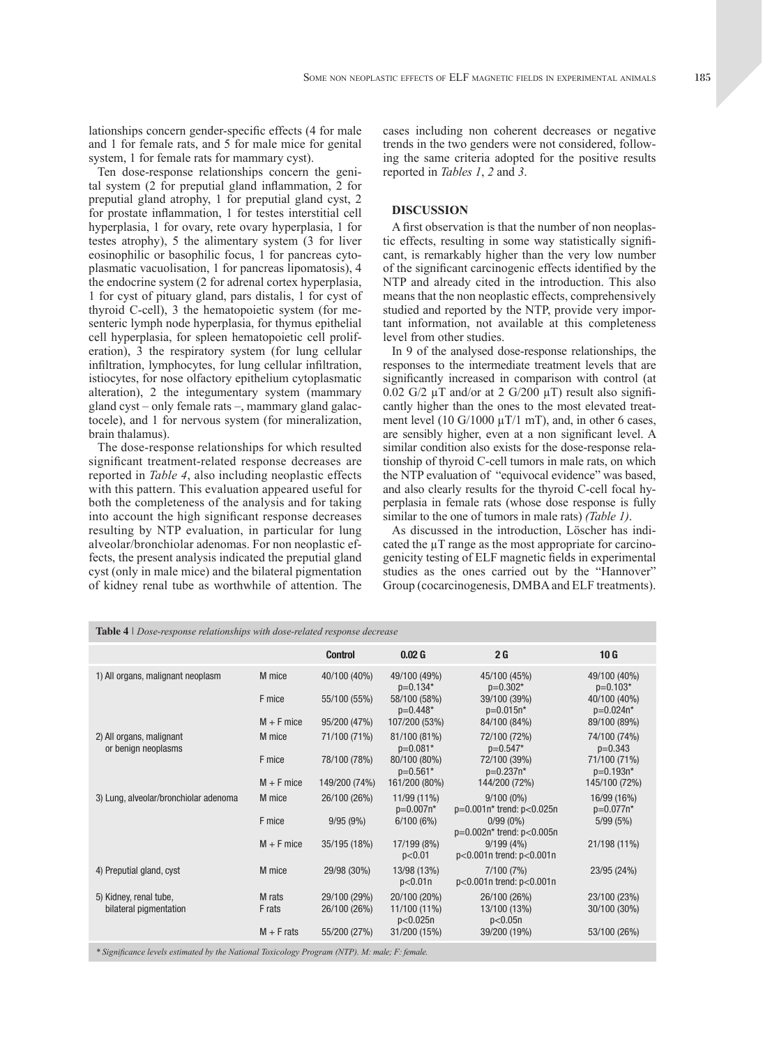lationships concern gender-specific effects (4 for male and 1 for female rats, and 5 for male mice for genital system, 1 for female rats for mammary cyst).

Ten dose-response relationships concern the genital system (2 for preputial gland inflammation, 2 for preputial gland atrophy, 1 for preputial gland cyst, 2 for prostate inflammation, 1 for testes interstitial cell hyperplasia, 1 for ovary, rete ovary hyperplasia, 1 for testes atrophy), 5 the alimentary system (3 for liver eosinophilic or basophilic focus, 1 for pancreas cytoplasmatic vacuolisation, 1 for pancreas lipomatosis), 4 the endocrine system (2 for adrenal cortex hyperplasia, 1 for cyst of pituary gland, pars distalis, 1 for cyst of thyroid C-cell), 3 the hematopoietic system (for mesenteric lymph node hyperplasia, for thymus epithelial cell hyperplasia, for spleen hematopoietic cell proliferation), 3 the respiratory system (for lung cellular infiltration, lymphocytes, for lung cellular infiltration, istiocytes, for nose olfactory epithelium cytoplasmatic alteration), 2 the integumentary system (mammary gland cyst – only female rats –, mammary gland galactocele), and 1 for nervous system (for mineralization, brain thalamus).

The dose-response relationships for which resulted significant treatment-related response decreases are reported in *Table 4*, also including neoplastic effects with this pattern. This evaluation appeared useful for both the completeness of the analysis and for taking into account the high significant response decreases resulting by NTP evaluation, in particular for lung alveolar/bronchiolar adenomas. For non neoplastic effects, the present analysis indicated the preputial gland cyst (only in male mice) and the bilateral pigmentation of kidney renal tube as worthwhile of attention. The cases including non coherent decreases or negative trends in the two genders were not considered, following the same criteria adopted for the positive results reported in *Tables 1*, *2* and *3*.

### **DISCUSSION**

A first observation is that the number of non neoplastic effects, resulting in some way statistically significant, is remarkably higher than the very low number of the significant carcinogenic effects identified by the NTP and already cited in the introduction. This also means that the non neoplastic effects, comprehensively studied and reported by the NTP, provide very important information, not available at this completeness level from other studies.

In 9 of the analysed dose-response relationships, the responses to the intermediate treatment levels that are significantly increased in comparison with control (at 0.02 G/2  $\mu$ T and/or at 2 G/200  $\mu$ T) result also significantly higher than the ones to the most elevated treatment level (10 G/1000  $\mu$ T/1 mT), and, in other 6 cases, are sensibly higher, even at a non significant level. A similar condition also exists for the dose-response relationship of thyroid C-cell tumors in male rats, on which the NTP evaluation of "equivocal evidence" was based, and also clearly results for the thyroid C-cell focal hyperplasia in female rats (whose dose response is fully similar to the one of tumors in male rats) *(Table 1)*.

As discussed in the introduction, Löscher has indicated the  $\mu$ T range as the most appropriate for carcinogenicity testing of ELF magnetic fields in experimental studies as the ones carried out by the "Hannover" Group (cocarcinogenesis, DMBA and ELF treatments).

| <b>Table 4</b>   Dose-response relationships with dose-related response decrease              |              |                |                            |                                              |                             |  |
|-----------------------------------------------------------------------------------------------|--------------|----------------|----------------------------|----------------------------------------------|-----------------------------|--|
|                                                                                               |              | <b>Control</b> | 0.02 <sub>G</sub>          | 2 <sub>G</sub>                               | 10G                         |  |
| 1) All organs, malignant neoplasm                                                             | M mice       | 40/100 (40%)   | 49/100 (49%)<br>$p=0.134*$ | 45/100 (45%)<br>$p=0.302*$                   | 49/100 (40%)<br>$p=0.103*$  |  |
|                                                                                               | F mice       | 55/100 (55%)   | 58/100 (58%)<br>$p=0.448*$ | 39/100 (39%)<br>$p=0.015n*$                  | 40/100 (40%)<br>$p=0.024n*$ |  |
|                                                                                               | $M + F$ mice | 95/200 (47%)   | 107/200 (53%)              | 84/100 (84%)                                 | 89/100 (89%)                |  |
| 2) All organs, malignant<br>or benign neoplasms                                               | M mice       | 71/100 (71%)   | 81/100 (81%)<br>$p=0.081*$ | 72/100 (72%)<br>$p=0.547*$                   | 74/100 (74%)<br>$p=0.343$   |  |
|                                                                                               | F mice       | 78/100 (78%)   | 80/100 (80%)<br>$p=0.561*$ | 72/100 (39%)<br>$p=0.237n*$                  | 71/100 (71%)<br>$p=0.193n*$ |  |
|                                                                                               | $M + F$ mice | 149/200 (74%)  | 161/200 (80%)              | 144/200 (72%)                                | 145/100 (72%)               |  |
| 3) Lung, alveolar/bronchiolar adenoma                                                         | M mice       | 26/100 (26%)   | 11/99 (11%)<br>$p=0.007n*$ | $9/100(0\%)$<br>p=0.001n* trend: p<0.025n    | 16/99 (16%)<br>$p=0.077n*$  |  |
|                                                                                               | F mice       | 9/95(9%)       | 6/100(6%)                  | $0/99(0\%)$<br>$p=0.002n*$ trend: $p<0.005n$ | 5/99(5%)                    |  |
|                                                                                               | $M + F$ mice | 35/195 (18%)   | 17/199 (8%)<br>p<0.01      | $9/199(4\%)$<br>$p<0.001n$ trend: $p<0.001n$ | 21/198 (11%)                |  |
| 4) Preputial gland, cyst                                                                      | M mice       | 29/98 (30%)    | 13/98 (13%)<br>p<0.01n     | 7/100 (7%)<br>$p<0.001n$ trend: $p<0.001n$   | 23/95 (24%)                 |  |
| 5) Kidney, renal tube,                                                                        | M rats       | 29/100 (29%)   | 20/100 (20%)               | 26/100 (26%)                                 | 23/100 (23%)                |  |
| bilateral pigmentation                                                                        | F rats       | 26/100 (26%)   | 11/100 (11%)<br>p<0.025n   | 13/100 (13%)<br>p<0.05n                      | 30/100 (30%)                |  |
|                                                                                               | $M + F$ rats | 55/200 (27%)   | 31/200 (15%)               | 39/200 (19%)                                 | 53/100 (26%)                |  |
| * Significance levels estimated by the National Toxicology Program (NTP). M: male; F: female. |              |                |                            |                                              |                             |  |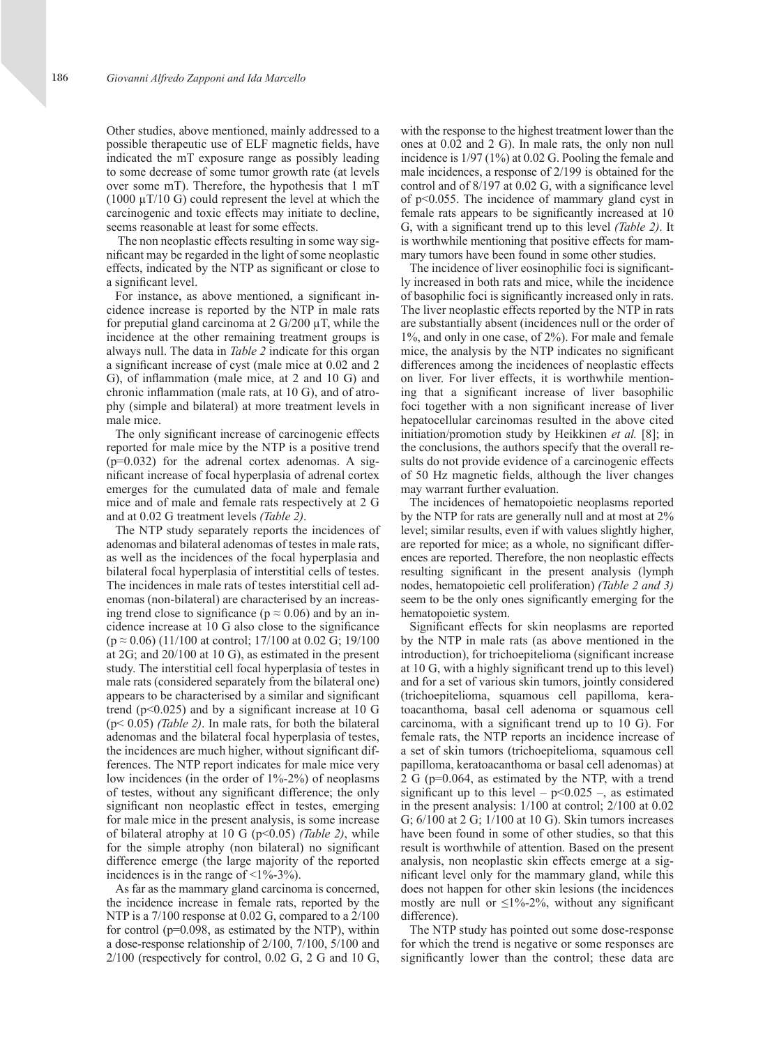Other studies, above mentioned, mainly addressed to a possible therapeutic use of ELF magnetic fields, have indicated the mT exposure range as possibly leading to some decrease of some tumor growth rate (at levels over some mT). Therefore, the hypothesis that 1 mT  $(1000 \mu T/10 G)$  could represent the level at which the carcinogenic and toxic effects may initiate to decline, seems reasonable at least for some effects.

 The non neoplastic effects resulting in some way significant may be regarded in the light of some neoplastic effects, indicated by the NTP as significant or close to a significant level.

For instance, as above mentioned, a significant incidence increase is reported by the NTP in male rats for preputial gland carcinoma at  $2 \text{ G}/200 \mu \text{T}$ , while the incidence at the other remaining treatment groups is always null. The data in *Table 2* indicate for this organ a significant increase of cyst (male mice at 0.02 and 2 G), of inflammation (male mice, at 2 and 10 G) and chronic inflammation (male rats, at 10 G), and of atrophy (simple and bilateral) at more treatment levels in male mice.

The only significant increase of carcinogenic effects reported for male mice by the NTP is a positive trend  $(p=0.032)$  for the adrenal cortex adenomas. A significant increase of focal hyperplasia of adrenal cortex emerges for the cumulated data of male and female mice and of male and female rats respectively at 2 G and at 0.02 G treatment levels *(Table 2)*.

The NTP study separately reports the incidences of adenomas and bilateral adenomas of testes in male rats, as well as the incidences of the focal hyperplasia and bilateral focal hyperplasia of interstitial cells of testes. The incidences in male rats of testes interstitial cell adenomas (non-bilateral) are characterised by an increasing trend close to significance ( $p \approx 0.06$ ) and by an incidence increase at 10 G also close to the significance  $(p \approx 0.06)$  (11/100 at control; 17/100 at 0.02 G; 19/100 at 2G; and 20/100 at 10 G), as estimated in the present study. The interstitial cell focal hyperplasia of testes in male rats (considered separately from the bilateral one) appears to be characterised by a similar and significant trend ( $p<0.025$ ) and by a significant increase at 10 G (p< 0.05) *(Table 2)*. In male rats, for both the bilateral adenomas and the bilateral focal hyperplasia of testes, the incidences are much higher, without significant differences. The NTP report indicates for male mice very low incidences (in the order of 1%-2%) of neoplasms of testes, without any significant difference; the only significant non neoplastic effect in testes, emerging for male mice in the present analysis, is some increase of bilateral atrophy at 10 G (p<0.05) *(Table 2)*, while for the simple atrophy (non bilateral) no significant difference emerge (the large majority of the reported incidences is in the range of  $\leq 1\% - 3\%$ ).

As far as the mammary gland carcinoma is concerned, the incidence increase in female rats, reported by the NTP is a 7/100 response at 0.02 G, compared to a  $2/100$ for control (p=0.098, as estimated by the NTP), within a dose-response relationship of 2/100, 7/100, 5/100 and  $2/100$  (respectively for control, 0.02 G, 2 G and 10 G, with the response to the highest treatment lower than the ones at 0.02 and 2 G). In male rats, the only non null incidence is 1/97 (1%) at 0.02 G. Pooling the female and male incidences, a response of 2/199 is obtained for the control and of 8/197 at 0.02 G, with a significance level of p<0.055. The incidence of mammary gland cyst in female rats appears to be significantly increased at 10 G, with a significant trend up to this level *(Table 2)*. It is worthwhile mentioning that positive effects for mammary tumors have been found in some other studies.

The incidence of liver eosinophilic foci is significantly increased in both rats and mice, while the incidence of basophilic foci is significantly increased only in rats. The liver neoplastic effects reported by the NTP in rats are substantially absent (incidences null or the order of 1%, and only in one case, of 2%). For male and female mice, the analysis by the NTP indicates no significant differences among the incidences of neoplastic effects on liver. For liver effects, it is worthwhile mentioning that a significant increase of liver basophilic foci together with a non significant increase of liver hepatocellular carcinomas resulted in the above cited initiation/promotion study by Heikkinen *et al.* [8]; in the conclusions, the authors specify that the overall results do not provide evidence of a carcinogenic effects of 50 Hz magnetic fields, although the liver changes may warrant further evaluation.

The incidences of hematopoietic neoplasms reported by the NTP for rats are generally null and at most at 2% level; similar results, even if with values slightly higher, are reported for mice; as a whole, no significant differences are reported. Therefore, the non neoplastic effects resulting significant in the present analysis (lymph nodes, hematopoietic cell proliferation) *(Table 2 and 3)* seem to be the only ones significantly emerging for the hematopoietic system.

Significant effects for skin neoplasms are reported by the NTP in male rats (as above mentioned in the introduction), for trichoepitelioma (significant increase at 10 G, with a highly significant trend up to this level) and for a set of various skin tumors, jointly considered (trichoepitelioma, squamous cell papilloma, keratoacanthoma, basal cell adenoma or squamous cell carcinoma, with a significant trend up to 10 G). For female rats, the NTP reports an incidence increase of a set of skin tumors (trichoepitelioma, squamous cell papilloma, keratoacanthoma or basal cell adenomas) at 2 G (p=0.064, as estimated by the NTP, with a trend significant up to this level –  $p<0.025$  –, as estimated in the present analysis: 1/100 at control; 2/100 at 0.02 G; 6/100 at 2 G; 1/100 at 10 G). Skin tumors increases have been found in some of other studies, so that this result is worthwhile of attention. Based on the present analysis, non neoplastic skin effects emerge at a significant level only for the mammary gland, while this does not happen for other skin lesions (the incidences mostly are null or  $\leq 1\% - 2\%$ , without any significant difference).

The NTP study has pointed out some dose-response for which the trend is negative or some responses are significantly lower than the control; these data are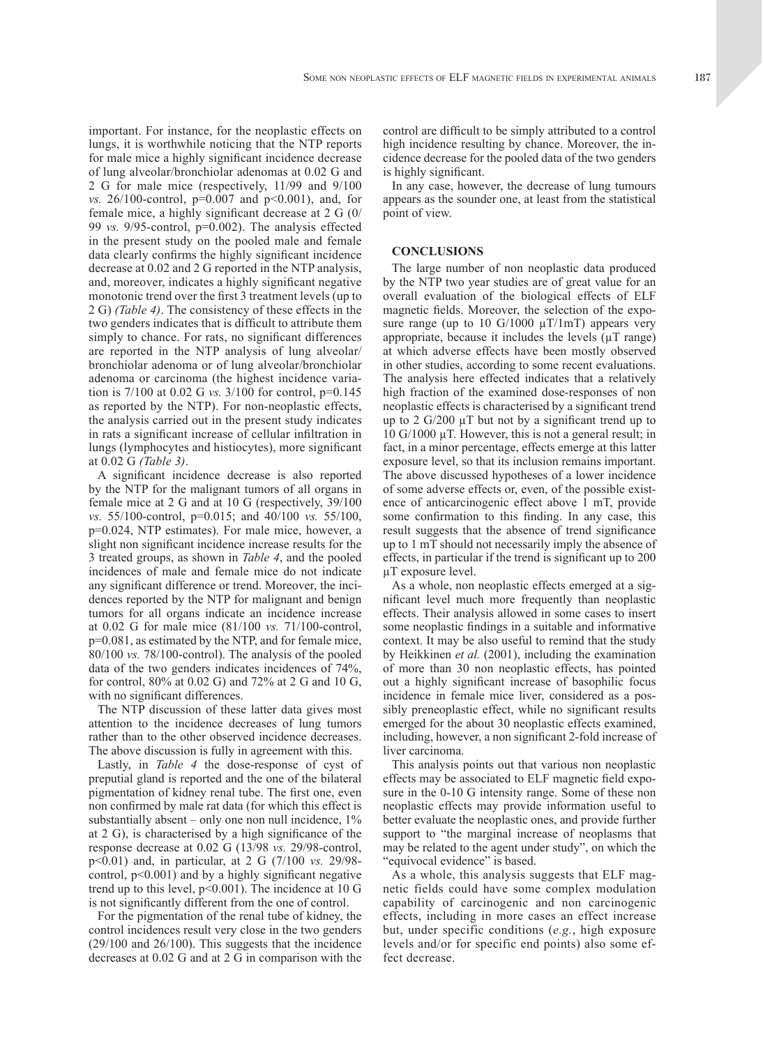important. For instance, for the neoplastic effects on lungs, it is worthwhile noticing that the NTP reports for male mice a highly significant incidence decrease of lung alveolar/bronchiolar adenomas at 0.02 G and 2 G for male mice (respectively, 11/99 and 9/100 *vs.* 26/100-control, p=0.007 and p<0.001), and, for female mice, a highly significant decrease at 2 G (0/ 99 *vs.* 9/95-control, p=0.002). The analysis effected in the present study on the pooled male and female data clearly confirms the highly significant incidence decrease at 0.02 and 2 G reported in the NTP analysis, and, moreover, indicates a highly significant negative monotonic trend over the first 3 treatment levels (up to 2 G) *(Table 4)*. The consistency of these effects in the two genders indicates that is difficult to attribute them simply to chance. For rats, no significant differences are reported in the NTP analysis of lung alveolar/ bronchiolar adenoma or of lung alveolar/bronchiolar adenoma or carcinoma (the highest incidence variation is 7/100 at 0.02 G *vs.* 3/100 for control, p=0.145 as reported by the NTP). For non-neoplastic effects, the analysis carried out in the present study indicates in rats a significant increase of cellular infiltration in lungs (lymphocytes and histiocytes), more significant at 0.02 G *(Table 3)*.

A significant incidence decrease is also reported by the NTP for the malignant tumors of all organs in female mice at 2 G and at 10 G (respectively, 39/100 *vs.* 55/100-control, p=0.015; and 40/100 *vs.* 55/100, p=0.024, NTP estimates). For male mice, however, a slight non significant incidence increase results for the 3 treated groups, as shown in *Table 4*, and the pooled incidences of male and female mice do not indicate any significant difference or trend. Moreover, the incidences reported by the NTP for malignant and benign tumors for all organs indicate an incidence increase at 0.02 G for male mice (81/100 *vs.* 71/100-control, p=0.081, as estimated by the NTP, and for female mice, 80/100 *vs.* 78/100-control). The analysis of the pooled data of the two genders indicates incidences of 74%, for control, 80% at 0.02 G) and 72% at 2 G and 10 G, with no significant differences.

The NTP discussion of these latter data gives most attention to the incidence decreases of lung tumors rather than to the other observed incidence decreases. The above discussion is fully in agreement with this.

Lastly, in *Table 4* the dose-response of cyst of preputial gland is reported and the one of the bilateral pigmentation of kidney renal tube. The first one, even non confirmed by male rat data (for which this effect is substantially absent – only one non null incidence,  $1\%$ at 2 G), is characterised by a high significance of the response decrease at 0.02 G (13/98 *vs.* 29/98-control, p<0.01) and, in particular, at 2 G (7/100 *vs.* 29/98 control, p<0.001) and by a highly significant negative trend up to this level,  $p<0.001$ ). The incidence at 10 G is not significantly different from the one of control.

For the pigmentation of the renal tube of kidney, the control incidences result very close in the two genders (29/100 and 26/100). This suggests that the incidence decreases at 0.02 G and at 2 G in comparison with the

control are difficult to be simply attributed to a control high incidence resulting by chance. Moreover, the incidence decrease for the pooled data of the two genders is highly significant.

In any case, however, the decrease of lung tumours appears as the sounder one, at least from the statistical point of view.

#### **CONCLUSIONS**

The large number of non neoplastic data produced by the NTP two year studies are of great value for an overall evaluation of the biological effects of ELF magnetic fields. Moreover, the selection of the exposure range (up to 10 G/1000  $\mu$ T/1mT) appears very appropriate, because it includes the levels  $(\mu T \text{ range})$ at which adverse effects have been mostly observed in other studies, according to some recent evaluations. The analysis here effected indicates that a relatively high fraction of the examined dose-responses of non neoplastic effects is characterised by a significant trend up to 2  $G/200 \mu T$  but not by a significant trend up to 10 G/1000 µT. However, this is not a general result; in fact, in a minor percentage, effects emerge at this latter exposure level, so that its inclusion remains important. The above discussed hypotheses of a lower incidence of some adverse effects or, even, of the possible existence of anticarcinogenic effect above 1 mT, provide some confirmation to this finding. In any case, this result suggests that the absence of trend significance up to 1 mT should not necessarily imply the absence of effects, in particular if the trend is significant up to 200 µT exposure level.

As a whole, non neoplastic effects emerged at a significant level much more frequently than neoplastic effects. Their analysis allowed in some cases to insert some neoplastic findings in a suitable and informative context. It may be also useful to remind that the study by Heikkinen *et al.* (2001), including the examination of more than 30 non neoplastic effects, has pointed out a highly significant increase of basophilic focus incidence in female mice liver, considered as a possibly preneoplastic effect, while no significant results emerged for the about 30 neoplastic effects examined, including, however, a non significant 2-fold increase of liver carcinoma.

This analysis points out that various non neoplastic effects may be associated to ELF magnetic field exposure in the 0-10 G intensity range. Some of these non neoplastic effects may provide information useful to better evaluate the neoplastic ones, and provide further support to "the marginal increase of neoplasms that may be related to the agent under study", on which the "equivocal evidence" is based.

As a whole, this analysis suggests that ELF magnetic fields could have some complex modulation capability of carcinogenic and non carcinogenic effects, including in more cases an effect increase but, under specific conditions (*e.g.*, high exposure levels and/or for specific end points) also some effect decrease.